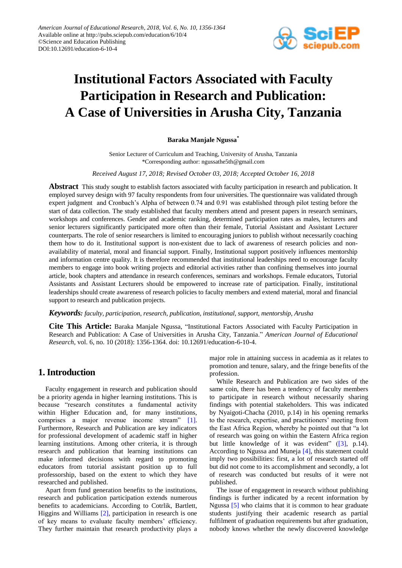

# **Institutional Factors Associated with Faculty Participation in Research and Publication: A Case of Universities in Arusha City, Tanzania**

## **Baraka Manjale Ngussa\***

Senior Lecturer of Curriculum and Teaching, University of Arusha, Tanzania \*Corresponding author: ngussathe5th@gmail.com

*Received August 17, 2018; Revised October 03, 2018; Accepted October 16, 2018*

**Abstract** This study sought to establish factors associated with faculty participation in research and publication. It employed survey design with 97 faculty respondents from four universities. The questionnaire was validated through expert judgment and Cronbach's Alpha of between 0.74 and 0.91 was established through pilot testing before the start of data collection. The study established that faculty members attend and present papers in research seminars, workshops and conferences. Gender and academic ranking, determined participation rates as males, lecturers and senior lecturers significantly participated more often than their female, Tutorial Assistant and Assistant Lecturer counterparts. The role of senior researchers is limited to encouraging juniors to publish without necessarily coaching them how to do it. Institutional support is non-existent due to lack of awareness of research policies and nonavailability of material, moral and financial support. Finally, Institutional support positively influences mentorship and information centre quality. It is therefore recommended that institutional leaderships need to encourage faculty members to engage into book writing projects and editorial activities rather than confining themselves into journal article, book chapters and attendance in research conferences, seminars and workshops. Female educators, Tutorial Assistants and Assistant Lecturers should be empowered to increase rate of participation. Finally, institutional leaderships should create awareness of research policies to faculty members and extend material, moral and financial support to research and publication projects.

## *Keywords: faculty, participation, research, publication, institutional, support, mentorship, Arusha*

**Cite This Article:** Baraka Manjale Ngussa, "Institutional Factors Associated with Faculty Participation in Research and Publication: A Case of Universities in Arusha City, Tanzania." *American Journal of Educational Research*, vol. 6, no. 10 (2018): 1356-1364. doi: 10.12691/education-6-10-4.

# **1. Introduction**

Faculty engagement in research and publication should be a priority agenda in higher learning institutions. This is because "research constitutes a fundamental activity within Higher Education and, for many institutions, comprises a major revenue income stream" [\[1\].](#page-7-0) Furthermore, Research and Publication are key indicators for professional development of academic staff in higher learning institutions. Among other criteria, it is through research and publication that learning institutions can make informed decisions with regard to promoting educators from tutorial assistant position up to full professorship, based on the extent to which they have researched and published.

Apart from fund generation benefits to the institutions, research and publication participation extends numerous benefits to academicians. According to Cotrlik, Bartlett, Higgins and Williams [\[2\],](#page-7-1) participation in research is one of key means to evaluate faculty members' efficiency. They further maintain that research productivity plays a major role in attaining success in academia as it relates to promotion and tenure, salary, and the fringe benefits of the profession.

While Research and Publication are two sides of the same coin, there has been a tendency of faculty members to participate in research without necessarily sharing findings with potential stakeholders. This was indicated by Nyaigoti-Chacha (2010, p.14) in his opening remarks to the research, expertise, and practitioners' meeting from the East Africa Region, whereby he pointed out that "a lot of research was going on within the Eastern Africa region but little knowledge of it was evident" [\(\[3\],](#page-7-2) p.14). According to Ngussa and Muneja [\[4\],](#page-7-3) this statement could imply two possibilities: first, a lot of research started off but did not come to its accomplishment and secondly, a lot of research was conducted but results of it were not published.

The issue of engagement in research without publishing findings is further indicated by a recent information by Ngussa [\[5\]](#page-7-4) who claims that it is common to hear graduate students justifying their academic research as partial fulfilment of graduation requirements but after graduation, nobody knows whether the newly discovered knowledge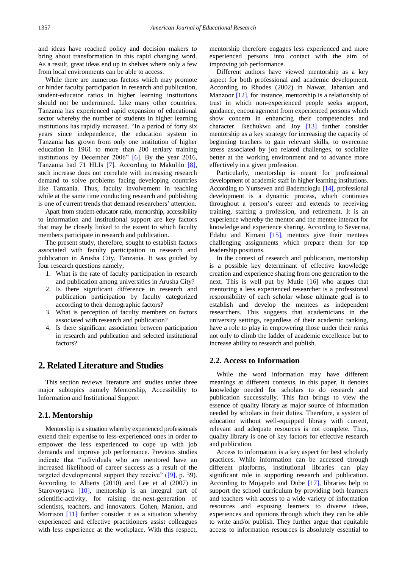and ideas have reached policy and decision makers to bring about transformation in this rapid changing word. As a result, great ideas end up in shelves where only a few from local environments can be able to access.

While there are numerous factors which may promote or hinder faculty participation in research and publication, student-educator ratios in higher learning institutions should not be undermined. Like many other countries, Tanzania has experienced rapid expansion of educational sector whereby the number of students in higher learning institutions has rapidly increased. "In a period of forty six years since independence, the education system in Tanzania has grown from only one institution of higher education in 1961 to more than 200 tertiary training institutions by December 2006" [\[6\].](#page-7-5) By the year 2016, Tanzania had 71 HLIs [\[7\]](#page-7-6)*.* According to Makulilo [\[8\],](#page-7-7) such increase does not correlate with increasing research demand to solve problems facing developing countries like Tanzania. Thus, faculty involvement in teaching while at the same time conducting research and publishing is one of current trends that demand researchers' attention.

Apart from student-educator ratio, mentorship, accessibility to information and institutional support are key factors that may be closely linked to the extent to which faculty members participate in research and publication.

The present study, therefore, sought to establish factors associated with faculty participation in research and publication in Arusha City, Tanzania. It was guided by four research questions namely;

- 1. What is the rate of faculty participation in research and publication among universities in Arusha City?
- 2. Is there significant difference in research and publication participation by faculty categorized according to their demographic factors?
- 3. What is perception of faculty members on factors associated with research and publication?
- 4. Is there significant association between participation in research and publication and selected institutional factors?

# **2. Related Literature and Studies**

This section reviews literature and studies under three major subtopics namely Mentorship, Accessibility to Information and Institutional Support

## **2.1. Mentorship**

Mentorship is a situation whereby experienced professionals extend their expertise to less-experienced ones in order to empower the less experienced to cope up with job demands and improve job performance. Previous studies indicate that "individuals who are mentored have an increased likelihood of career success as a result of the targeted developmental support they receive" [\(\[9\],](#page-7-8) p. 39). According to Alberts (2010) and Lee et al (2007) in Starovoytava [\[10\],](#page-7-9) mentorship is an integral part of scientific-activity, for raising the-next-generation of scientists, teachers, and innovators. Cohen, Manion, and Morrison [\[11\]](#page-8-0) further consider it as a situation whereby experienced and effective practitioners assist colleagues with less experience at the workplace. With this respect,

mentorship therefore engages less experienced and more experienced persons into contact with the aim of improving job performance.

Different authors have viewed mentorship as a key aspect for both professional and academic development. According to Rhodes (2002) in Nawaz, Jahanian and Manzoor [\[12\],](#page-8-1) for instance, mentorship is a relationship of trust in which non-experienced people seeks support, guidance, encouragement from experienced persons which show concern in enhancing their competencies and character. Ikechukwu and Joy [\[13\]](#page-8-2) further consider mentorship as a key strategy for increasing the capacity of beginning teachers to gain relevant skills, to overcome stress associated by job related challenges, to socialize better at the working environment and to advance more effectively in a given profession.

Particularly, mentorship is meant for professional development of academic staff in higher learning institutions. According to Yurtseven and Bademcioglu [\[14\],](#page-8-3) professional development is a dynamic process, which continues throughout a person's career and extends to receiving training, starting a profession, and retirement. It is an experience whereby the mentor and the mentee interact for knowledge and experience sharing. According to Severina, Edabu and Kimani [\[15\],](#page-8-4) mentors give their mentees challenging assignments which prepare them for top leadership positions.

In the context of research and publication, mentorship is a possible key determinant of effective knowledge creation and experience sharing from one generation to the next. This is well put by Mutie [\[16\]](#page-8-5) who argues that mentoring a less experienced researcher is a professional responsibility of each scholar whose ultimate goal is to establish and develop the mentees as independent researchers. This suggests that academicians in the university settings, regardless of their academic ranking, have a role to play in empowering those under their ranks not only to climb the ladder of academic excellence but to increase ability to research and publish.

## **2.2. Access to Information**

While the word information may have different meanings at different contexts, in this paper, it denotes knowledge needed for scholars to do research and publication successfully. This fact brings to view the essence of quality library as major source of information needed by scholars in their duties. Therefore, a system of education without well-equipped library with current, relevant and adequate resources is not complete. Thus, quality library is one of key factors for effective research and publication.

Access to information is a key aspect for best scholarly practices. While information can be accessed through different platforms, institutional libraries can play significant role in supporting research and publication. According to Mojapelo and Dube [\[17\],](#page-8-6) libraries help to support the school curriculum by providing both learners and teachers with access to a wide variety of information resources and exposing learners to diverse ideas, experiences and opinions through which they can be able to write and/or publish. They further argue that equitable access to information resources is absolutely essential to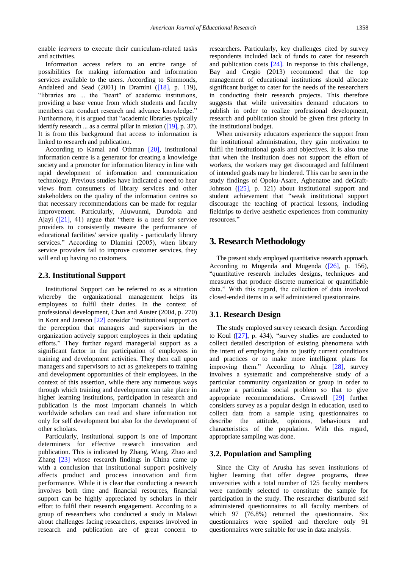enable *learners* to execute their curriculum-related tasks and activities.

Information access refers to an entire range of possibilities for making information and information services available to the users. According to Simmonds, Andaleed and Sead (2001) in Dramini [\(\[18\],](#page-8-7) p. 119), "libraries are ... the "heart" of academic institutions, providing a base venue from which students and faculty members can conduct research and advance knowledge." Furthermore, it is argued that "academic libraries typically identify research ... as a central pillar in mission [\(\[19\],](#page-8-8) p. 37). It is from this background that access to information is linked to research and publication.

According to Kamal and Othman [\[20\],](#page-8-9) institutional information centre is a generator for creating a knowledge society and a promoter for information literacy in line with rapid development of information and communication technology. Previous studies have indicated a need to hear views from consumers of library services and other stakeholders on the quality of the information centres so that necessary recommendations can be made for regular improvement. Particularly, Aluwunmi, Durodola and Ajayi [\(\[21\],](#page-8-10) 41) argue that "there is a need for service providers to consistently measure the performance of educational facilities' service quality - particularly library services." According to Dlamini (2005), when library service providers fail to improve customer services, they will end up having no customers.

## **2.3. Institutional Support**

Institutional Support can be referred to as a situation whereby the organizational management helps its employees to fulfil their duties. In the context of professional development, Chan and Auster (2004, p. 270) in Kont and Jantson [\[22\]](#page-8-11) consider "institutional support *as* the perception that managers and supervisors in the organization actively support employees in their updating efforts." They further regard managerial support as a significant factor in the participation of employees in training and development activities. They then call upon managers and supervisors to act as gatekeepers to training and development opportunities of their employees. In the context of this assertion, while there any numerous ways through which training and development can take place in higher learning institutions, participation in research and publication is the most important channels in which worldwide scholars can read and share information not only for self development but also for the development of other scholars.

Particularly, institutional support is one of important determiners for effective research innovation and publication. This is indicated by Zhang, Wang, Zhao and Zhang [\[23\]](#page-8-12) whose research findings in China came up with a conclusion that institutional support positively affects product and process innovation and firm performance. While it is clear that conducting a research involves both time and financial resources, financial support can be highly appreciated by scholars in their effort to fulfil their research engagement. According to a group of researchers who conducted a study in Malawi about challenges facing researchers, expenses involved in research and publication are of great concern to

researchers. Particularly, key challenges cited by survey respondents included lack of funds to cater for research and publication costs [\[24\].](#page-8-13) In response to this challenge, Bay and Cregio (2013) recommend that the top management of educational institutions should allocate significant budget to cater for the needs of the researchers in conducting their research projects. This therefore suggests that while universities demand educators to publish in order to realize professional development, research and publication should be given first priority in the institutional budget.

When university educators experience the support from the institutional administration, they gain motivation to fulfil the institutional goals and objectives. It is also true that when the institution does not support the effort of workers, the workers may get discouraged and fulfilment of intended goals may be hindered. This can be seen in the study findings of Opoku-Asare, Agbenatoe and deGraft-Johnson [\(\[25\],](#page-8-14) p. 121) about institutional support and student achievement that "weak institutional support discourage the teaching of practical lessons, including fieldtrips to derive aesthetic experiences from community resources."

# **3. Research Methodology**

The present study employed quantitative research approach. According to Mugenda and Mugenda  $([26]$ , p. 156), "quantitative research includes designs, techniques and measures that produce discrete numerical or quantifiable data." With this regard, the collection of data involved closed-ended items in a self administered questionnaire.

## **3.1. Research Design**

The study employed survey research design. According to Koul [\(\[27\],](#page-8-16) p. 434), "survey studies are conducted to collect detailed description of existing phenomena with the intent of employing data to justify current conditions and practices or to make more intelligent plans for improving them." According to Ahuja [\[28\],](#page-8-17) survey involves a systematic and comprehensive study of a particular community organization or group in order to analyze a particular social problem so that to give appropriate recommendations. Cresswell [\[29\]](#page-8-18) further considers survey as a popular design in education, used to collect data from a sample using questionnaires to describe the attitude, opinions, behaviours and characteristics of the population. With this regard, appropriate sampling was done.

## **3.2. Population and Sampling**

Since the City of Arusha has seven institutions of higher learning that offer degree programs, three universities with a total number of 125 faculty members were randomly selected to constitute the sample for participation in the study. The researcher distributed self administered questionnaires to all faculty members of which 97 (76.8%) returned the questionnaire. Six questionnaires were spoiled and therefore only 91 questionnaires were suitable for use in data analysis.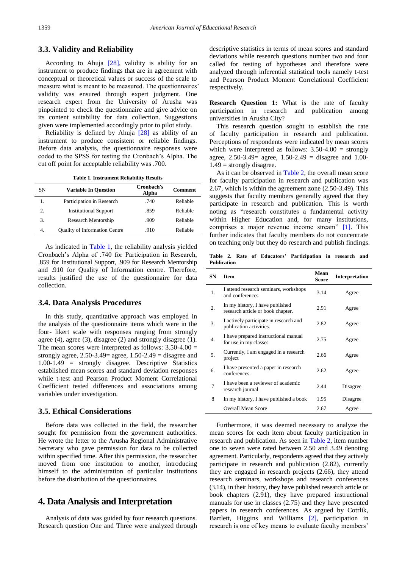## **3.3. Validity and Reliability**

According to Ahuja [\[28\],](#page-8-17) validity is ability for an instrument to produce findings that are in agreement with conceptual or theoretical values or success of the scale to measure what is meant to be measured. The questionnaires' validity was ensured through expert judgment. One research expert from the University of Arusha was pinpointed to check the questionnaire and give advice on its content suitability for data collection. Suggestions given were implemented accordingly prior to pilot study.

Reliability is defined by Ahuja [\[28\]](#page-8-17) as ability of an instrument to produce consistent or reliable findings. Before data analysis, the questionnaire responses were coded to the SPSS for testing the Cronbach's Alpha. The cut off point for acceptable reliability was .700.

**Table 1. Instrument Reliability Results**

<span id="page-3-0"></span>

| SN | <b>Variable In Ouestion</b>          | Cronbach's<br>Alpha | <b>Comment</b> |
|----|--------------------------------------|---------------------|----------------|
| 1. | Participation in Research            | .740                | Reliable       |
| 2. | <b>Institutional Support</b>         | .859                | Reliable       |
| 3. | Research Mentorship                  | .909                | Reliable       |
| 4. | <b>Quality of Information Centre</b> | .910                | Reliable       |

As indicated in [Table 1,](#page-3-0) the reliability analysis yielded Cronbach's Alpha of .740 for Participation in Research, .859 for Institutional Support, .909 for Research Mentorship and .910 for Quality of Information centre. Therefore, results justified the use of the questionnaire for data collection.

## **3.4. Data Analysis Procedures**

In this study, quantitative approach was employed in the analysis of the questionnaire items which were in the four- likert scale with responses ranging from strongly agree (4), agree (3), disagree (2) and strongly disagree (1). The mean scores were interpreted as follows:  $3.50-4.00 =$ strongly agree,  $2.50-3.49$  = agree,  $1.50-2.49$  = disagree and 1.00-1.49 = strongly disagree. Descriptive Statistics established mean scores and standard deviation responses while t-test and Pearson Product Moment Correlational Coefficient tested differences and associations among variables under investigation.

## **3.5. Ethical Considerations**

Before data was collected in the field, the researcher sought for permission from the government authorities. He wrote the letter to the Arusha Regional Administrative Secretary who gave permission for data to be collected within specified time. After this permission, the researcher moved from one institution to another, introducing himself to the administration of particular institutions before the distribution of the questionnaires.

## **4. Data Analysis and Interpretation**

Analysis of data was guided by four research questions. Research question One and Three were analyzed through descriptive statistics in terms of mean scores and standard deviations while research questions number two and four called for testing of hypotheses and therefore were analyzed through inferential statistical tools namely t-test and Pearson Product Moment Correlational Coefficient respectively.

**Research Question 1:** What is the rate of faculty participation in research and publication among universities in Arusha City?

This research question sought to establish the rate of faculty participation in research and publication. Perceptions of respondents were indicated by mean scores which were interpreted as follows:  $3.50-4.00 =$  strongly agree,  $2.50 - 3.49 =$  agree,  $1.50 - 2.49 =$  disagree and  $1.00 1.49$  = strongly disagree.

As it can be observed in [Table 2,](#page-3-1) the overall mean score for faculty participation in research and publication was 2.67, which is within the agreement zone (2.50-3.49). This suggests that faculty members generally agreed that they participate in research and publication. This is worth noting as "research constitutes a fundamental activity within Higher Education and, for many institutions, comprises a major revenue income stream" [\[1\].](#page-7-0) This further indicates that faculty members do not concentrate on teaching only but they do research and publish findings.

**Table 2. Rate of Educators' Participation in research and Publication**

<span id="page-3-1"></span>

| <b>SN</b> | <b>Item</b>                                                          | Mean<br>Score | <b>Interpretation</b> |
|-----------|----------------------------------------------------------------------|---------------|-----------------------|
| 1.        | I attend research seminars, workshops<br>and conferences             | 3.14          | Agree                 |
| 2.        | In my history, I have published<br>research article or book chapter. | 2.91          | Agree                 |
| 3.        | I actively participate in research and<br>publication activities.    | 2.82          | Agree                 |
| 4.        | I have prepared instructional manual<br>for use in my classes        | 2.75          | Agree                 |
| 5.        | Currently, I am engaged in a research<br>project                     | 2.66          | Agree                 |
| 6.        | I have presented a paper in research<br>conferences.                 | 2.62          | Agree                 |
| 7         | I have been a reviewer of academic<br>research journal               | 2.44          | Disagree              |
| 8         | In my history, I have published a book                               | 1.95          | Disagree              |
|           | <b>Overall Mean Score</b>                                            | 2.67          | Agree                 |

Furthermore, it was deemed necessary to analyze the mean scores for each item about faculty participation in research and publication. As seen in [Table 2,](#page-3-1) item number one to seven were rated between 2.50 and 3.49 denoting agreement. Particularly, respondents agreed that they actively participate in research and publication (2.82), currently they are engaged in research projects (2.66), they attend research seminars, workshops and research conferences (3.14), in their history, they have published research article or book chapters (2.91), they have prepared instructional manuals for use in classes (2.75) and they have presented papers in research conferences. As argued by Cotrlik, Bartlett, Higgins and Williams [\[2\],](#page-7-1) participation in research is one of key means to evaluate faculty members'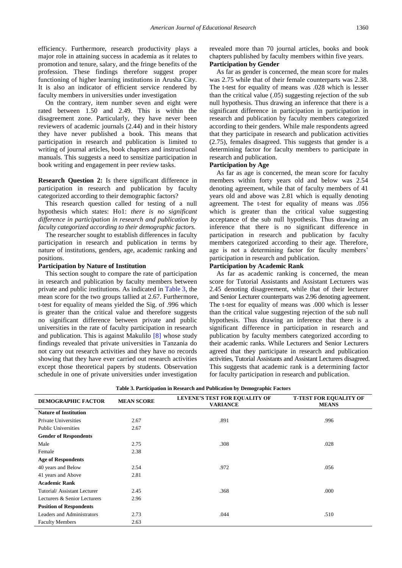efficiency. Furthermore, research productivity plays a major role in attaining success in academia as it relates to promotion and tenure, salary, and the fringe benefits of the profession. These findings therefore suggest proper functioning of higher learning institutions in Arusha City. It is also an indicator of efficient service rendered by faculty members in universities under investigation

On the contrary, item number seven and eight were rated between 1.50 and 2.49. This is within the disagreement zone. Particularly, they have never been reviewers of academic journals (2.44) and in their history they have never published a book. This means that participation in research and publication is limited to writing of journal articles, book chapters and instructional manuals. This suggests a need to sensitize participation in book writing and engagement in peer review tasks.

**Research Question 2:** Is there significant difference in participation in research and publication by faculty categorized according to their demographic factors?

This research question called for testing of a null hypothesis which states: Ho1: *there is no significant difference in participation in research and publication by faculty categorized according to their demographic factors.*

The researcher sought to establish differences in faculty participation in research and publication in terms by nature of institutions, genders, age, academic ranking and positions.

## **Participation by Nature of Institution**

This section sought to compare the rate of participation in research and publication by faculty members between private and public institutions. As indicated in [Table 3,](#page-4-0) the mean score for the two groups tallied at 2.67. Furthermore, t-test for equality of means yielded the Sig. of .996 which is greater than the critical value and therefore suggests no significant difference between private and public universities in the rate of faculty participation in research and publication. This is against Makulilo [\[8\]](#page-7-7) whose study findings revealed that private universities in Tanzania do not carry out research activities and they have no records showing that they have ever carried out research activities except those theoretical papers by students. Observation schedule in one of private universities under investigation

revealed more than 70 journal articles, books and book chapters published by faculty members within five years. **Participation by Gender**

As far as gender is concerned, the mean score for males was 2.75 while that of their female counterparts was 2.38. The t-test for equality of means was .028 which is lesser than the critical value (.05) suggesting rejection of the sub null hypothesis. Thus drawing an inference that there is a significant difference in participation in participation in research and publication by faculty members categorized according to their genders. While male respondents agreed that they participate in research and publication activities (2.75), females disagreed. This suggests that gender is a determining factor for faculty members to participate in research and publication.

### **Participation by Age**

As far as age is concerned, the mean score for faculty members within forty years old and below was 2.54 denoting agreement, while that of faculty members of 41 years old and above was 2.81 which is equally denoting agreement. The t-test for equality of means was .056 which is greater than the critical value suggesting acceptance of the sub null hypothesis. Thus drawing an inference that there is no significant difference in participation in research and publication by faculty members categorized according to their age. Therefore, age is not a determining factor for faculty members' participation in research and publication.

## **Participation by Academic Rank**

As far as academic ranking is concerned, the mean score for Tutorial Assistants and Assistant Lecturers was 2.45 denoting disagreement, while that of their lecturer and Senior Lecturer counterparts was 2.96 denoting agreement. The t-test for equality of means was .000 which is lesser than the critical value suggesting rejection of the sub null hypothesis. Thus drawing an inference that there is a significant difference in participation in research and publication by faculty members categorized according to their academic ranks. While Lecturers and Senior Lecturers agreed that they participate in research and publication activities, Tutorial Assistants and Assistant Lecturers disagreed. This suggests that academic rank is a determining factor for faculty participation in research and publication.

| Table 3. Participation in Research and Publication by Demographic Factors |  |  |  |  |  |  |  |  |  |  |  |  |
|---------------------------------------------------------------------------|--|--|--|--|--|--|--|--|--|--|--|--|
|---------------------------------------------------------------------------|--|--|--|--|--|--|--|--|--|--|--|--|

<span id="page-4-0"></span>

| DEMOGRAPHIC FACTOR             | <b>MEAN SCORE</b> | LEVENE'S TEST FOR EQUALITY OF<br><b>VARIANCE</b> | <b>T-TEST FOR EQUALITY OF</b><br><b>MEANS</b> |
|--------------------------------|-------------------|--------------------------------------------------|-----------------------------------------------|
| <b>Nature of Institution</b>   |                   |                                                  |                                               |
| Private Universities           | 2.67              | .891                                             | .996                                          |
| <b>Public Universities</b>     | 2.67              |                                                  |                                               |
| <b>Gender of Respondents</b>   |                   |                                                  |                                               |
| Male                           | 2.75              | .308                                             | .028                                          |
| Female                         | 2.38              |                                                  |                                               |
| <b>Age of Respondents</b>      |                   |                                                  |                                               |
| 40 years and Below             | 2.54              | .972                                             | .056                                          |
| 41 years and Above             | 2.81              |                                                  |                                               |
| <b>Academic Rank</b>           |                   |                                                  |                                               |
| Tutorial/Assistant Lecturer    | 2.45              | .368                                             | .000                                          |
| Lecturers & Senior Lecturers   | 2.96              |                                                  |                                               |
| <b>Position of Respondents</b> |                   |                                                  |                                               |
| Leaders and Administrators     | 2.73              | .044                                             | .510                                          |
| <b>Faculty Members</b>         | 2.63              |                                                  |                                               |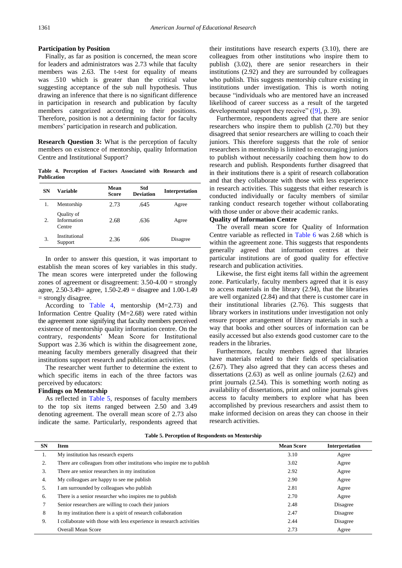#### **Participation by Position**

Finally, as far as position is concerned, the mean score for leaders and administrators was 2.73 while that faculty members was 2.63. The t-test for equality of means was .510 which is greater than the critical value suggesting acceptance of the sub null hypothesis. Thus drawing an inference that there is no significant difference in participation in research and publication by faculty members categorized according to their positions. Therefore, position is not a determining factor for faculty members' participation in research and publication.

**Research Question 3:** What is the perception of faculty members on existence of mentorship, quality Information Centre and Institutional Support?

**Table 4. Perception of Factors Associated with Research and Publication**

<span id="page-5-0"></span>

| SN | Variable                            | Mean<br>Score | Std<br><b>Deviation</b> | <b>Interpretation</b> |
|----|-------------------------------------|---------------|-------------------------|-----------------------|
| 1. | Mentorship                          | 2.73          | .645                    | Agree                 |
| 2. | Quality of<br>Information<br>Centre | 2.68          | .636                    | Agree                 |
| 3. | Institutional<br>Support            | 2.36          | .606                    | Disagree              |

In order to answer this question, it was important to establish the mean scores of key variables in this study. The mean scores were interpreted under the following zones of agreement or disagreement: 3.50-4.00 = strongly agree, 2.50-3.49= agree, 1.50-2.49 = disagree and 1.00-1.49 = strongly disagree.

According to [Table 4,](#page-5-0) mentorship (M=2.73) and Information Centre Quality (M=2.68) were rated within the agreement zone signifying that faculty members perceived existence of mentorship quality information centre. On the contrary, respondents' Mean Score for Institutional Support was 2.36 which is within the disagreement zone, meaning faculty members generally disagreed that their institutions support research and publication activities.

The researcher went further to determine the extent to which specific items in each of the three factors was perceived by educators:

## **Findings on Mentorship**

As reflected in [Table 5,](#page-5-1) responses of faculty members to the top six items ranged between 2.50 and 3.49 denoting agreement. The overall mean score of 2.73 also indicate the same. Particularly, respondents agreed that their institutions have research experts (3.10), there are colleagues from other institutions who inspire them to publish (3.02), there are senior researchers in their institutions (2.92) and they are surrounded by colleagues who publish. This suggests mentorship culture existing in institutions under investigation. This is worth noting because "individuals who are mentored have an increased likelihood of career success as a result of the targeted developmental support they receive" [\(\[9\],](#page-7-8) p. 39).

Furthermore, respondents agreed that there are senior researchers who inspire them to publish (2.70) but they disagreed that senior researchers are willing to coach their juniors. This therefore suggests that the role of senior researchers in mentorship is limited to encouraging juniors to publish without necessarily coaching them how to do research and publish. Respondents further disagreed that in their institutions there is a spirit of research collaboration and that they collaborate with those with less experience in research activities. This suggests that either research is conducted individually or faculty members of similar ranking conduct research together without collaborating with those under or above their academic ranks.

## **Quality of Information Centre**

The overall mean score for Quality of Information Centre variable as reflected in [Table 6](#page-6-0) was 2.68 which is within the agreement zone. This suggests that respondents generally agreed that information centres at their particular institutions are of good quality for effective research and publication activities.

Likewise, the first eight items fall within the agreement zone. Particularly, faculty members agreed that it is easy to access materials in the library (2.94), that the libraries are well organized (2.84) and that there is customer care in their institutional libraries (2.76). This suggests that library workers in institutions under investigation not only ensure proper arrangement of library materials in such a way that books and other sources of information can be easily accessed but also extends good customer care to the readers in the libraries.

Furthermore, faculty members agreed that libraries have materials related to their fields of specialisation (2.67). They also agreed that they can access theses and dissertations (2.63) as well as online journals (2.62) and print journals (2.54). This is something worth noting as availability of dissertations, print and online journals gives access to faculty members to explore what has been accomplished by previous researchers and assist them to make informed decision on areas they can choose in their research activities.

| Table 5. Perception of Respondents on Mentorship |  |  |
|--------------------------------------------------|--|--|
|--------------------------------------------------|--|--|

<span id="page-5-1"></span>

| <b>SN</b> | <b>Item</b>                                                            | <b>Mean Score</b> | Interpretation |
|-----------|------------------------------------------------------------------------|-------------------|----------------|
| 1.        | My institution has research experts                                    | 3.10              | Agree          |
| 2.        | There are colleagues from other institutions who inspire me to publish | 3.02              | Agree          |
| 3.        | There are senior researchers in my institution                         | 2.92              | Agree          |
| 4.        | My colleagues are happy to see me publish                              | 2.90              | Agree          |
| 5.        | I am surrounded by colleagues who publish                              | 2.81              | Agree          |
| 6.        | There is a senior researcher who inspires me to publish                | 2.70              | Agree          |
|           | Senior researchers are willing to coach their juniors                  | 2.48              | Disagree       |
| 8         | In my institution there is a spirit of research collaboration          | 2.47              | Disagree       |
| 9.        | I collaborate with those with less experience in research activities   | 2.44              | Disagree       |
|           | <b>Overall Mean Score</b>                                              | 2.73              | Agree          |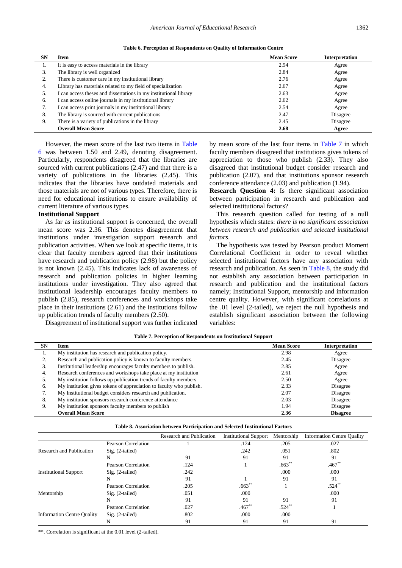5. I can access theses and dissertations in my institutional library 2.63 Agree 6. I can access online journals in my institutional library 2.62 Agree 7. I can access print journals in my institutional library 2.54 Agree 8. The library is sourced with current publications 2.47 Disagree 9. There is a variety of publications in the library 2.45 Disagree **Overall Mean Score 2.68 Agree**

<span id="page-6-0"></span>

|    | Table 6. Perception of Respondents on Quality of Information Centre |                   |                |  |  |  |  |
|----|---------------------------------------------------------------------|-------------------|----------------|--|--|--|--|
| SN | <b>Item</b>                                                         | <b>Mean Score</b> | Interpretation |  |  |  |  |
|    | It is easy to access materials in the library                       | 2.94              | Agree          |  |  |  |  |
| 3. | The library is well organized                                       | 2.84              | Agree          |  |  |  |  |
|    | There is customer care in my institutional library                  | 2.76              | Agree          |  |  |  |  |
| 4. | Library has materials related to my field of specialization         | 2.67              | Agree          |  |  |  |  |

| However, the mean score of the last two items in Table        |
|---------------------------------------------------------------|
| 6 was between 1.50 and 2.49, denoting disagreement.           |
| Particularly, respondents disagreed that the libraries are    |
| sourced with current publications (2.47) and that there is a  |
| variety of publications in the libraries (2.45). This         |
| indicates that the libraries have outdated materials and      |
| those materials are not of various types. Therefore, there is |
| need for educational institutions to ensure availability of   |
| current literature of various types.                          |

#### **Institutional Support**

As far as institutional support is concerned, the overall mean score was 2.36. This denotes disagreement that institutions under investigation support research and publication activities. When we look at specific items, it is clear that faculty members agreed that their institutions have research and publication policy (2.98) but the policy is not known (2.45). This indicates lack of awareness of research and publication policies in higher learning institutions under investigation. They also agreed that institutional leadership encourages faculty members to publish (2.85), research conferences and workshops take place in their institutions (2.61) and the institutions follow up publication trends of faculty members (2.50).

Disagreement of institutional support was further indicated

by mean score of the last four items in [Table 7](#page-6-1) in which faculty members disagreed that institutions gives tokens of appreciation to those who publish (2.33). They also disagreed that institutional budget consider research and publication (2.07), and that institutions sponsor research conference attendance (2.03) and publication (1.94).

**Research Question 4:** Is there significant association between participation in research and publication and selected institutional factors?

This research question called for testing of a null hypothesis which states: *there is no significant association between research and publication and selected institutional factors*.

The hypothesis was tested by Pearson product Moment Correlational Coefficient in order to reveal whether selected institutional factors have any association with research and publication. As seen in [Table 8,](#page-6-2) the study did not establish any association between participation in research and publication and the institutional factors namely; Institutional Support, mentorship and information centre quality. However, with significant correlations at the .01 level (2-tailed), we reject the null hypothesis and establish significant association between the following variables:

<span id="page-6-1"></span>

| <b>SN</b> | Item                                                                | <b>Mean Score</b> | Interpretation  |
|-----------|---------------------------------------------------------------------|-------------------|-----------------|
|           | My institution has research and publication policy.                 | 2.98              | Agree           |
| ۷.        | Research and publication policy is known to faculty members.        | 2.45              | Disagree        |
| 3.        | Institutional leadership encourages faculty members to publish.     | 2.85              | Agree           |
| 4.        | Research conferences and workshops take place at my institution     | 2.61              | Agree           |
| 5.        | My institution follows up publication trends of faculty members     | 2.50              | Agree           |
| 6.        | My institution gives tokens of appreciation to faculty who publish. | 2.33              | Disagree        |
| 7.        | My Institutional budget considers research and publication.         | 2.07              | Disagree        |
| 8.        | My institution sponsors research conference attendance              | 2.03              | Disagree        |
| 9.        | My institution sponsors faculty members to publish                  | 1.94              | Disagree        |
|           | <b>Overall Mean Score</b>                                           | 2.36              | <b>Disagree</b> |

**Table 7. Perception of Respondents on Institutional Support**

| Table 8. Association between Participation and Selected Institutional Factors |  |  |
|-------------------------------------------------------------------------------|--|--|

<span id="page-6-2"></span>

|                                   |                     | Research and Publication | <b>Institutional Support</b> | Mentorship | <b>Information Centre Quality</b> |
|-----------------------------------|---------------------|--------------------------|------------------------------|------------|-----------------------------------|
|                                   | Pearson Correlation |                          | .124                         | .205       | .027                              |
| Research and Publication          | $Sig. (2-tailed)$   |                          | .242                         | .051       | .802                              |
|                                   | N                   | 91                       | 91                           | 91         | 91                                |
|                                   | Pearson Correlation | .124                     |                              | $.663**$   | $.467**$                          |
| <b>Institutional Support</b>      | $Sig. (2-tailed)$   | .242                     |                              | .000       | .000                              |
|                                   | N                   | 91                       |                              | 91         | 91                                |
|                                   | Pearson Correlation | .205                     | $.663$ <sup>*</sup>          |            | $.524^{*}$                        |
| Mentorship                        | $Sig. (2-tailed)$   | .051                     | .000                         |            | .000                              |
|                                   | N                   | 91                       | 91                           | 91         | 91                                |
|                                   | Pearson Correlation | .027                     | .467                         | .524       |                                   |
| <b>Information Centre Quality</b> | $Sig. (2-tailed)$   | .802                     | .000                         | .000       |                                   |
|                                   | N                   | 91                       | 91                           | 91         | 91                                |

\*\*. Correlation is significant at the 0.01 level (2-tailed).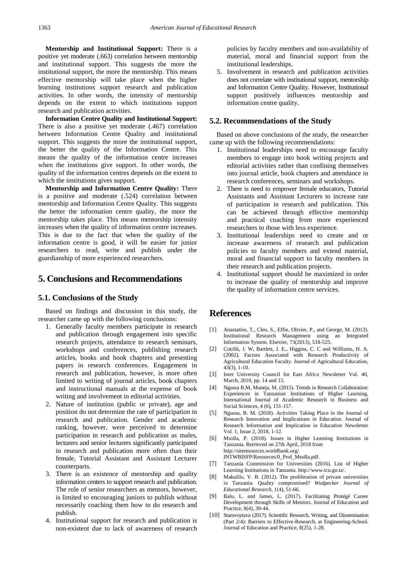**Mentorship and Institutional Support:** There is a positive yet moderate (.663) correlation between mentorship and institutional support. This suggests the more the institutional support, the more the mentorship. This means effective mentorship will take place when the higher learning institutions support research and publication activities. In other words, the intensity of mentorship depends on the extent to which institutions support research and publication activities.

**Information Centre Quality and Institutional Support:** There is also a positive yet moderate (.467) correlation between Information Centre Quality and institutional support. This suggests the more the institutional support, the better the quality of the Information Centre. This means the quality of the information centre increases when the institutions give support. In other words, the quality of the information centres depends on the extent to which the institutions gives support.

**Mentorship and Information Centre Quality:** There is a positive and moderate (.524) correlation between mentorship and Information Centre Quality. This suggests the better the information centre quality, the more the mentorship takes place. This means mentorship intensity increases when the quality of information centre increases. This is due to the fact that when the quality of the information centre is good, it will be easier for junior researchers to read, write and publish under the guardianship of more experienced researchers.

## **5. Conclusions and Recommendations**

## **5.1. Conclusions of the Study**

Based on findings and discussion in this study, the researcher came up with the following conclusions:

- 1. Generally faculty members participate in research and publication through engagement into specific research projects, attendance to research seminars, workshops and conferences, publishing research articles, books and book chapters and presenting papers in research conferences. Engagement in research and publication, however, is more often limited to writing of journal articles, book chapters and instructional manuals at the expense of book writing and involvement in editorial activities.
- 2. Nature of institution (public or private), age and position do not determine the rate of participation in research and publication. Gender and academic ranking, however, were perceived to determine participation in research and publication as males, lecturers and senior lecturers significantly participated in research and publication more often than their female, Tutorial Assistant and Assistant Lecturer counterparts.
- 3. There is an existence of mentorship and quality information centers to support research and publication. The role of senior researchers as mentors, however, is limited to encouraging juniors to publish without necessarily coaching them how to do research and publish.
- 4. Institutional support for research and publication is non-existent due to lack of awareness of research

policies by faculty members and non-availability of material, moral and financial support from the institutional leaderships.

5. Involvement in research and publication activities does not correlate with institutional support, mentorship and Information Centre Quality. However, Institutional support positively influences mentorship and information centre quality.

## **5.2. Recommendations of the Study**

Based on above conclusions of the study, the researcher came up with the following recommendations:

- 1. Institutional leaderships need to encourage faculty members to engage into book writing projects and editorial activities rather than confining themselves into journal article, book chapters and attendance in research conferences, seminars and workshops.
- 2. There is need to empower female educators, Tutorial Assistants and Assistant Lecturers to increase rate of participation in research and publication. This can be achieved through effective mentorship and practical coaching from more experienced researchers to those with less experience.
- 3. Institutional leaderships need to create and or increase awareness of research and publication policies to faculty members and extend material, moral and financial support to faculty members in their research and publication projects.
- 4. Institutional support should be maximized in order to increase the quality of mentorship and improve the quality of information centre services.

# **References**

- <span id="page-7-0"></span>[1] Anastatios, T., Cleo, S., Effie, Olivier, P., and George, M. (2013). Institutional Research Management using an Integrated Information System. Elsevier, 73(2013), 518-525.
- <span id="page-7-1"></span>[2] Cotrlik, J. W, Bartlett, J. E., Higgins, C. C and Williams, H. A. (2002). Factors Associated with Research Productivity of Agricultural Education Faculty. Journal of Agricultural Education, 43(3), 1-10.
- <span id="page-7-2"></span>[3] Inter University Council for East Africa Newsletter Vol. 40, March, 2010, pp. 14 and 15.
- <span id="page-7-3"></span>[4] Ngussa B.M, Muneja, M. (2015). Trends in Research Collaboration: Experiences in Tanzanian Institutions of Higher Learning. International Journal of Academic Research in Business and Social Sciences, 4 (6), 151-157.
- <span id="page-7-4"></span>[5] Ngussa, B. M. (2018). Activities Taking Place in the Journal of Research Innovation and Implications in Education. Journal of Research Information and Implication in Education Newsletter Vol. 1, Issue 2, 2018, 1-12.
- <span id="page-7-5"></span>[6] Msolla, P. (2018). Issues in Higher Learning Institutions in Tanzania. Retrieved on 27th April, 2018 from http://siteresources.worldbank.org/ INTWBISFP/Resources/0\_Prof\_Msolla.pdf.
- <span id="page-7-6"></span>[7] Tanzania Commission for Universities (2016). List of Higher Learning Institutions in Tanzania. http://www.tcu.go.tz/.
- <span id="page-7-7"></span>[8] Makulilo, V. B. (2012). The proliferation of private universities in Tanzania: Quality compromised? *Wudpecker Journal of Educational Research, 1*(4), 51-66.
- <span id="page-7-8"></span>[9] Balu, L. and James, L. (2017). Facilitating Protégé Career Development through Skills of Mentors. Journal of Education and Practice, 8(4), 39-44.
- <span id="page-7-9"></span>[10] Starovoytava (2017). Scientific Research, Writing, and Dissemination (Part 2/4): Barriers to Effective-Research, at Engineering-School. Journal of Education and Practice, 8(25), 1-28.